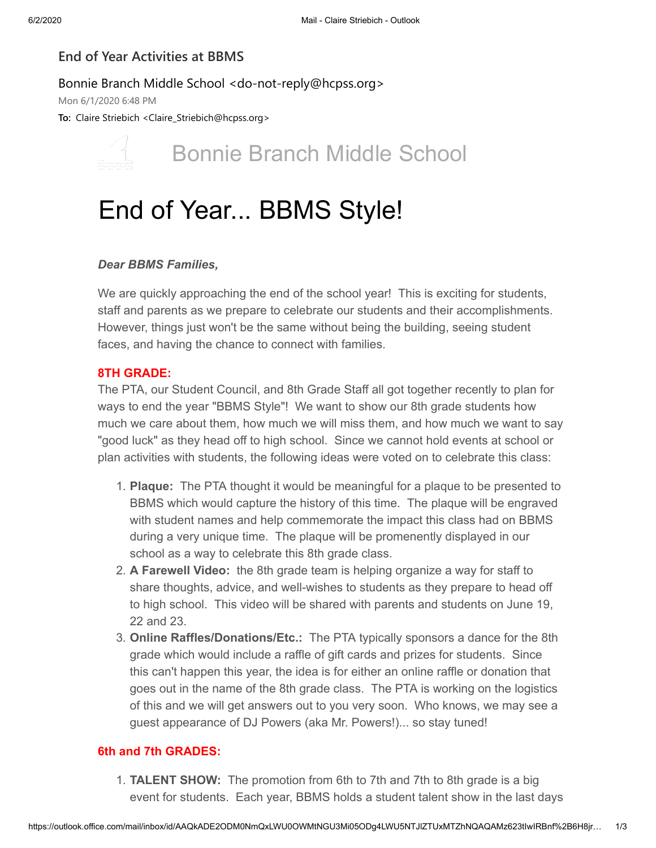## **End of Year Activities at BBMS**

### Bonnie Branch Middle School <do-not-reply@hcpss.org>

Mon 6/1/2020 6:48 PM

**To:** Claire Striebich <Claire\_Striebich@hcpss.org>

# Bonnie Branch Middle School

# End of Year... BBMS Style!

### *Dear BBMS Families,*

We are quickly approaching the end of the school year! This is exciting for students, staff and parents as we prepare to celebrate our students and their accomplishments. However, things just won't be the same without being the building, seeing student faces, and having the chance to connect with families.

#### **8TH GRADE:**

The PTA, our Student Council, and 8th Grade Staff all got together recently to plan for ways to end the year "BBMS Style"! We want to show our 8th grade students how much we care about them, how much we will miss them, and how much we want to say "good luck" as they head off to high school. Since we cannot hold events at school or plan activities with students, the following ideas were voted on to celebrate this class:

- 1. **Plaque:** The PTA thought it would be meaningful for a plaque to be presented to BBMS which would capture the history of this time. The plaque will be engraved with student names and help commemorate the impact this class had on BBMS during a very unique time. The plaque will be promenently displayed in our school as a way to celebrate this 8th grade class.
- 2. **A Farewell Video:** the 8th grade team is helping organize a way for staff to share thoughts, advice, and well-wishes to students as they prepare to head off to high school. This video will be shared with parents and students on June 19, 22 and 23.
- 3. **Online Raffles/Donations/Etc.:** The PTA typically sponsors a dance for the 8th grade which would include a raffle of gift cards and prizes for students. Since this can't happen this year, the idea is for either an online raffle or donation that goes out in the name of the 8th grade class. The PTA is working on the logistics of this and we will get answers out to you very soon. Who knows, we may see a guest appearance of DJ Powers (aka Mr. Powers!)... so stay tuned!

#### **6th and 7th GRADES:**

1. **TALENT SHOW:** The promotion from 6th to 7th and 7th to 8th grade is a big event for students. Each year, BBMS holds a student talent show in the last days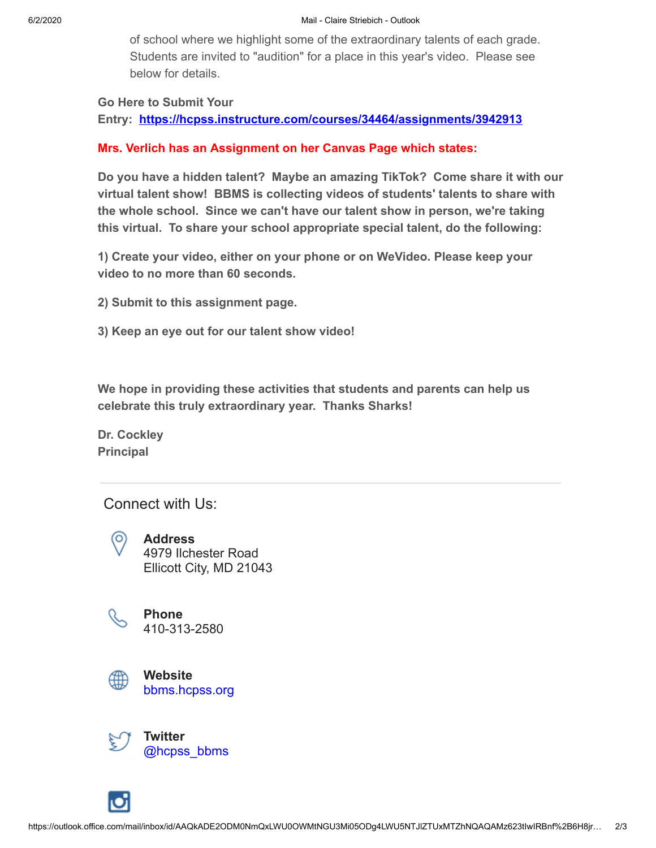of school where we highlight some of the extraordinary talents of each grade. Students are invited to "audition" for a place in this year's video. Please see below for details.

#### **Go Here to Submit Your**

**Entry: [https://hcpss.instructure.com/courses/34464/assignments/3942913](https://nam01.safelinks.protection.outlook.com/?url=http:%2F%2Ftrack.spe.schoolmessenger.com%2Ff%2Fa%2FJXzG8luUeq7SixpsTMfZUA~~%2FAAAAAQA~%2FRgRgtrkoP0Q_aHR0cHM6Ly9oY3Bzcy5pbnN0cnVjdHVyZS5jb20vY291cnNlcy8zNDQ2NC9hc3NpZ25tZW50cy8zOTQyOTEzVwdzY2hvb2xtQgoARqiF1V63NEvpUhpjbGFpcmVfc3RyaWViaWNoQGhjcHNzLm9yZ1gEAAAAAQ~~&data=02%7C01%7Cclaire_striebich%40hcpss.org%7Cff95961683634640706108d8067ddb6e%7C96a9ac4c477e4dada2b28ad3fc46790b%7C1%7C0%7C637266484910745590&sdata=GuBTehCt476HmBjDzr6RLTAErxH5tQrB%2BWPb4LG4Tps%3D&reserved=0)**

#### **Mrs. Verlich has an Assignment on her Canvas Page which states:**

**Do you have a hidden talent? Maybe an amazing TikTok? Come share it with our virtual talent show! BBMS is collecting videos of students' talents to share with the whole school. Since we can't have our talent show in person, we're taking this virtual. To share your school appropriate special talent, do the following:**

**1) Create your video, either on your phone or on WeVideo. Please keep your video to no more than 60 seconds.**

- **2) Submit to this assignment page.**
- **3) Keep an eye out for our talent show video!**

**We hope in providing these activities that students and parents can help us celebrate this truly extraordinary year. Thanks Sharks!**

**Dr. Cockley Principal**

## Connect with Us:

**Address** 4979 Ilchester Road Ellicott City, MD 21043



(O)

**Phone** 410-313-2580



**Website** [bbms.hcpss.org](https://nam01.safelinks.protection.outlook.com/?url=http:%2F%2Ftrack.spe.schoolmessenger.com%2Ff%2Fa%2FLqJ8-KEozAvwsgr2X9f4gg~~%2FAAAAAQA~%2FRgRgtrkoP0QWaHR0cDovL2JibXMuaGNwc3Mub3JnL1cHc2Nob29sbUIKAEaohdVetzRL6VIaY2xhaXJlX3N0cmllYmljaEBoY3Bzcy5vcmdYBAAAAAE~&data=02%7C01%7Cclaire_striebich%40hcpss.org%7Cff95961683634640706108d8067ddb6e%7C96a9ac4c477e4dada2b28ad3fc46790b%7C1%7C0%7C637266484910755580&sdata=C5oX%2F0RmBb3uPrX%2FoDOM%2Bj8u0jQ0WN5dSW8qZMGEOFI%3D&reserved=0)



**Twitter** [@hcpss\\_bbms](https://nam01.safelinks.protection.outlook.com/?url=http:%2F%2Ftrack.spe.schoolmessenger.com%2Ff%2Fa%2FXO155rNKMquzX7df9ru2Tw~~%2FAAAAAQA~%2FRgRgtrkoP0QeaHR0cHM6Ly90d2l0dGVyLmNvbS9oY3Bzc19iYm1zVwdzY2hvb2xtQgoARqiF1V63NEvpUhpjbGFpcmVfc3RyaWViaWNoQGhjcHNzLm9yZ1gEAAAAAQ~~&data=02%7C01%7Cclaire_striebich%40hcpss.org%7Cff95961683634640706108d8067ddb6e%7C96a9ac4c477e4dada2b28ad3fc46790b%7C1%7C0%7C637266484910755580&sdata=fo0v9%2B6pUtT0XB6tkxTyOsRYlqjVSCWkioM4Mrzm19M%3D&reserved=0)